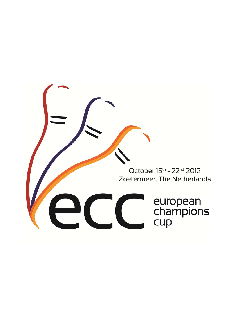October 15th - 22nd 2012 Zoetermeer, The Netherlands european<br>champions<br>cup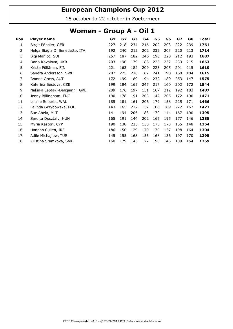15 october to 22 october in Zoetermeer

#### Women - Group A - Oil 1

| Pos | Player name                     | G1  | G2  | G3  | G4  | G5  | G6  | G7  | G8  | Total |
|-----|---------------------------------|-----|-----|-----|-----|-----|-----|-----|-----|-------|
| 1   | Birgit Pöppler, GER             | 227 | 218 | 234 | 216 | 202 | 203 | 222 | 239 | 1761  |
| 2   | Helga Biagia Di Benedetto, ITA  | 192 | 240 | 212 | 202 | 232 | 203 | 220 | 213 | 1714  |
| 3   | Bigi Manico, SUI                | 257 | 187 | 182 | 246 | 190 | 220 | 212 | 193 | 1687  |
| 4   | Daria Kovalova, UKR             | 203 | 190 | 179 | 188 | 223 | 232 | 233 | 215 | 1663  |
| 5   | Krista Pöllänen, FIN            | 221 | 163 | 182 | 209 | 223 | 205 | 201 | 215 | 1619  |
| 6   | Sandra Andersson, SWE           | 207 | 225 | 210 | 182 | 241 | 198 | 168 | 184 | 1615  |
| 7   | Ivonne Gross, AUT               | 172 | 199 | 189 | 194 | 232 | 189 | 253 | 147 | 1575  |
| 8   | Katerina Bestova, CZE           | 199 | 184 | 165 | 245 | 217 | 160 | 202 | 172 | 1544  |
| 9   | Nafsika Leptaki-Deligianni, GRE | 209 | 176 | 197 | 151 | 167 | 212 | 192 | 183 | 1487  |
| 10  | Jenny Billingham, ENG           | 190 | 178 | 191 | 203 | 142 | 205 | 172 | 190 | 1471  |
| 11  | Louise Roberts, WAL             | 185 | 181 | 161 | 206 | 179 | 158 | 225 | 171 | 1466  |
| 12  | Felinda Grzybowska, POL         | 143 | 165 | 212 | 157 | 168 | 189 | 222 | 167 | 1423  |
| 13  | Sue Abela, MLT                  | 141 | 194 | 206 | 183 | 170 | 144 | 167 | 190 | 1395  |
| 14  | Sarolta Dosztály, HUN           | 165 | 191 | 144 | 202 | 165 | 195 | 177 | 146 | 1385  |
| 15  | Myria Kastori, CYP              | 190 | 138 | 225 | 150 | 175 | 173 | 155 | 148 | 1354  |
| 16  | Hannah Cullen, IRE              | 186 | 150 | 129 | 170 | 170 | 137 | 198 | 164 | 1304  |
| 17  | Adile Michajlow, TUR            | 145 | 155 | 168 | 156 | 168 | 136 | 197 | 170 | 1295  |
| 18  | Kristina Sramkova, SVK          | 160 | 179 | 145 | 177 | 190 | 145 | 109 | 164 | 1269  |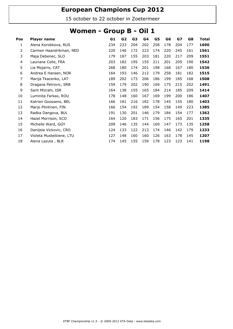15 october to 22 october in Zoetermeer

#### Women - Group B - Oil 1

| Pos | Player name              | G1  | G <sub>2</sub> | G3  | G <sub>4</sub> | G5  | G6  | G7  | G8  | Total |
|-----|--------------------------|-----|----------------|-----|----------------|-----|-----|-----|-----|-------|
| 1   | Alena Korobkova, RUS     | 234 | 233            | 204 | 202            | 258 | 178 | 204 | 177 | 1690  |
| 2   | Carmen Haandrikman, NED  | 220 | 146            | 172 | 223            | 174 | 220 | 245 | 161 | 1561  |
| 3   | Maja Debenec, SLO        | 179 | 187            | 155 | 203            | 181 | 220 | 217 | 209 | 1551  |
| 4   | Lauriane Celie, FRA      | 203 | 182            | 195 | 155            | 211 | 201 | 205 | 190 | 1542  |
| 5   | Lia Mojarro, CAT         | 268 | 180            | 174 | 201            | 198 | 168 | 167 | 180 | 1536  |
| 6   | Andrea E Hansen, NOR     | 164 | 193            | 146 | 212            | 179 | 258 | 181 | 182 | 1515  |
| 7   | Marija Tkacenko, LAT     | 189 | 202            | 173 | 206            | 186 | 199 | 185 | 168 | 1508  |
| 8   | Dragana Petrovic, SRB    | 159 | 179            | 202 | 190            | 169 | 175 | 215 | 202 | 1491  |
| 9   | Sarit Mizrahi, ISR       | 164 | 138            | 155 | 165            | 184 | 214 | 185 | 209 | 1414  |
| 10  | Luminita Farkas, ROU     | 178 | 148            | 160 | 167            | 169 | 199 | 200 | 186 | 1407  |
| 11  | Katrien Goossens, BEL    | 166 | 181            | 216 | 182            | 178 | 145 | 155 | 180 | 1403  |
| 12  | Marjo Pöntinen, FIN      | 166 | 154            | 192 | 189            | 154 | 158 | 149 | 223 | 1385  |
| 13  | Radka Dangova, BUL       | 191 | 130            | 201 | 146            | 179 | 184 | 154 | 177 | 1362  |
| 14  | Hazel Morrison, SCO      | 164 | 120            | 183 | 171            | 156 | 175 | 165 | 201 | 1335  |
| 15  | Michelle Ward, GGY       | 209 | 146            | 135 | 144            | 169 | 147 | 173 | 135 | 1258  |
| 16  | Danijela Vickovic, CRO   | 124 | 133            | 122 | 213            | 174 | 146 | 142 | 179 | 1233  |
| 17  | Violeta Musteikiene, LTU | 127 | 148            | 160 | 160            | 126 | 163 | 178 | 145 | 1207  |
| 18  | Alena Lazuta, BLR        | 174 | 145            | 155 | 159            | 178 | 123 | 123 | 141 | 1198  |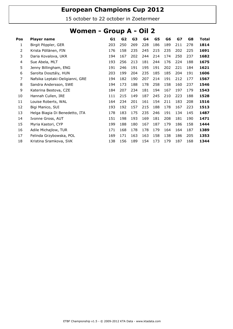15 october to 22 october in Zoetermeer

#### Women - Group A - Oil 2

| Pos | Player name                     | G1  | G2  | G3  | G4  | G5  | G6  | GZ  | G8  | Total |
|-----|---------------------------------|-----|-----|-----|-----|-----|-----|-----|-----|-------|
| 1   | Birgit Pöppler, GER             | 203 | 250 | 269 | 228 | 186 | 189 | 211 | 278 | 1814  |
| 2   | Krista Pöllänen, FIN            | 176 | 158 | 235 | 245 | 215 | 235 | 202 | 225 | 1691  |
| 3   | Daria Kovalova, UKR             | 194 | 167 | 202 | 244 | 214 | 174 | 250 | 237 | 1682  |
| 4   | Sue Abela, MLT                  | 193 | 256 | 213 | 181 | 244 | 176 | 224 | 188 | 1675  |
| 5   | Jenny Billingham, ENG           | 191 | 246 | 191 | 195 | 191 | 202 | 221 | 184 | 1621  |
| 6   | Sarolta Dosztály, HUN           | 203 | 199 | 204 | 235 | 185 | 185 | 204 | 191 | 1606  |
| 7   | Nafsika Leptaki-Deligianni, GRE | 194 | 182 | 190 | 207 | 214 | 191 | 212 | 177 | 1567  |
| 8   | Sandra Andersson, SWE           | 194 | 173 | 188 | 178 | 258 | 158 | 160 | 237 | 1546  |
| 9   | Katerina Bestova, CZE           | 184 | 207 | 234 | 181 | 194 | 167 | 197 | 179 | 1543  |
| 10  | Hannah Cullen, IRE              | 111 | 215 | 149 | 187 | 245 | 210 | 223 | 188 | 1528  |
| 11  | Louise Roberts, WAL             | 164 | 234 | 201 | 161 | 154 | 211 | 183 | 208 | 1516  |
| 12  | Bigi Manico, SUI                | 193 | 192 | 157 | 215 | 188 | 178 | 167 | 223 | 1513  |
| 13  | Helga Biagia Di Benedetto, ITA  | 178 | 183 | 175 | 235 | 246 | 191 | 134 | 145 | 1487  |
| 14  | Ivonne Gross, AUT               | 151 | 198 | 193 | 169 | 181 | 208 | 181 | 190 | 1471  |
| 15  | Myria Kastori, CYP              | 199 | 188 | 180 | 167 | 187 | 179 | 186 | 158 | 1444  |
| 16  | Adile Michajlow, TUR            | 171 | 168 | 178 | 178 | 179 | 164 | 164 | 187 | 1389  |
| 17  | Felinda Grzybowska, POL         | 169 | 171 | 163 | 163 | 158 | 138 | 186 | 205 | 1353  |
| 18  | Kristina Sramkova, SVK          | 138 | 156 | 189 | 154 | 173 | 179 | 187 | 168 | 1344  |
|     |                                 |     |     |     |     |     |     |     |     |       |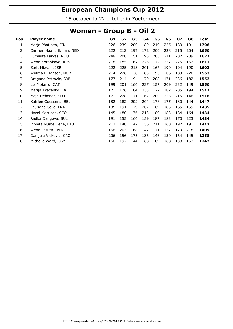15 october to 22 october in Zoetermeer

#### Women - Group B - Oil 2

| Pos | Player name              | G1  | G <sub>2</sub> | G <sub>3</sub> | G4  | G5  | G6  | G7  | G8  | Total |
|-----|--------------------------|-----|----------------|----------------|-----|-----|-----|-----|-----|-------|
| 1   | Marjo Pöntinen, FIN      | 226 | 239            | 200            | 189 | 219 | 255 | 189 | 191 | 1708  |
| 2   | Carmen Haandrikman, NED  | 222 | 212            | 197            | 172 | 200 | 228 | 215 | 204 | 1650  |
| 3   | Luminita Farkas, ROU     | 248 | 208            | 151            | 195 | 203 | 211 | 202 | 209 | 1627  |
| 4   | Alena Korobkova, RUS     | 218 | 185            | 167            | 225 | 172 | 257 | 225 | 162 | 1611  |
| 5   | Sarit Mizrahi, ISR       | 222 | 225            | 213            | 201 | 167 | 190 | 194 | 190 | 1602  |
| 6   | Andrea E Hansen, NOR     | 214 | 226            | 138            | 183 | 193 | 206 | 183 | 220 | 1563  |
| 7   | Dragana Petrovic, SRB    | 177 | 214            | 194            | 170 | 208 | 171 | 236 | 182 | 1552  |
| 8   | Lia Mojarro, CAT         | 199 | 201            | 166            | 237 | 157 | 209 | 232 | 149 | 1550  |
| 9   | Marija Tkacenko, LAT     | 171 | 176            | 184            | 233 | 172 | 182 | 205 | 194 | 1517  |
| 10  | Maja Debenec, SLO        | 171 | 228            | 171            | 162 | 200 | 223 | 215 | 146 | 1516  |
| 11  | Katrien Goossens, BEL    | 182 | 182            | 202            | 204 | 178 | 175 | 180 | 144 | 1447  |
| 12  | Lauriane Celie, FRA      | 185 | 191            | 179            | 202 | 169 | 185 | 165 | 159 | 1435  |
| 13  | Hazel Morrison, SCO      | 145 | 180            | 176            | 213 | 189 | 183 | 184 | 164 | 1434  |
| 14  | Radka Dangova, BUL       | 191 | 155            | 166            | 159 | 187 | 183 | 170 | 223 | 1434  |
| 15  | Violeta Musteikiene, LTU | 212 | 148            | 142            | 156 | 211 | 160 | 192 | 191 | 1412  |
| 16  | Alena Lazuta, BLR        | 166 | 203            | 168            | 147 | 171 | 157 | 179 | 218 | 1409  |
| 17  | Danijela Vickovic, CRO   | 206 | 156            | 175            | 136 | 146 | 130 | 164 | 145 | 1258  |
| 18  | Michelle Ward, GGY       | 160 | 192            | 144            | 168 | 109 | 168 | 138 | 163 | 1242  |
|     |                          |     |                |                |     |     |     |     |     |       |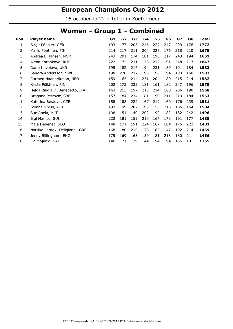15 october to 22 october in Zoetermeer

#### Women - Group 1 - Combined

| Pos | Player name                     | G1  | G2  | G3  | G4  | G5  | G6  | GZ  | G8  | Total |
|-----|---------------------------------|-----|-----|-----|-----|-----|-----|-----|-----|-------|
| 1   | Birgit Pöppler, GER             | 193 | 177 | 205 | 246 | 227 | 247 | 299 | 178 | 1772  |
| 2   | Marjo Pöntinen, FIN             | 214 | 217 | 211 | 204 | 225 | 176 | 218 | 210 | 1675  |
| 3   | Andrea E Hansen, NOR            | 243 | 201 | 174 | 181 | 198 | 217 | 243 | 194 | 1651  |
| 4   | Alena Korobkova, RUS            | 222 | 172 | 211 | 178 | 212 | 191 | 248 | 213 | 1647  |
| 5   | Daria Kovalova, UKR             | 195 | 182 | 217 | 194 | 231 | 189 | 191 | 184 | 1583  |
| 6   | Sandra Andersson, SWE           | 198 | 228 | 217 | 195 | 198 | 194 | 193 | 160 | 1583  |
| 7   | Carmen Haandrikman, NED         | 159 | 165 | 214 | 231 | 204 | 180 | 215 | 214 | 1582  |
| 8   | Krista Pöllänen, FIN            | 202 | 173 | 233 | 181 | 161 | 182 | 247 | 196 | 1575  |
| 9   | Helga Biagia Di Benedetto, ITA  | 163 | 215 | 197 | 215 | 214 | 168 | 206 | 190 | 1568  |
| 10  | Dragana Petrovic, SRB           | 157 | 184 | 234 | 181 | 199 | 211 | 213 | 184 | 1563  |
| 11  | Katerina Bestova, CZE           | 158 | 188 | 222 | 167 | 212 | 169 | 176 | 239 | 1531  |
| 12  | Ivonne Gross, AUT               | 193 | 199 | 202 | 190 | 156 | 215 | 185 | 164 | 1504  |
| 13  | Sue Abela, MLT                  | 198 | 151 | 149 | 202 | 190 | 182 | 182 | 242 | 1496  |
| 14  | Bigi Manico, SUI                | 222 | 181 | 159 | 210 | 167 | 178 | 191 | 177 | 1485  |
| 15  | Maja Debenec, SLO               | 148 | 171 | 191 | 224 | 167 | 184 | 175 | 222 | 1482  |
| 16  | Nafsika Leptaki-Deligianni, GRE | 168 | 180 | 210 | 178 | 180 | 147 | 192 | 214 | 1469  |
| 17  | Jenny Billingham, ENG           | 175 | 169 | 163 | 159 | 181 | 218 | 180 | 211 | 1456  |
| 18  | Lia Mojarro, CAT                | 146 | 171 | 179 | 144 | 194 | 194 | 156 | 181 | 1365  |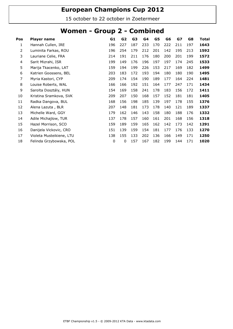15 october to 22 october in Zoetermeer

#### Women - Group 2 - Combined

| Pos | <b>Player name</b>       | G1  | G <sub>2</sub> | G3  | G4  | G5  | G6  | G7  | G8  | <b>Total</b> |
|-----|--------------------------|-----|----------------|-----|-----|-----|-----|-----|-----|--------------|
| 1   | Hannah Cullen, IRE       | 196 | 227            | 187 | 233 | 170 | 222 | 211 | 197 | 1643         |
| 2   | Luminita Farkas, ROU     | 196 | 254            | 179 | 212 | 201 | 142 | 195 | 213 | 1592         |
| 3   | Lauriane Celie, FRA      | 214 | 191            | 211 | 176 | 180 | 200 | 201 | 199 | 1572         |
| 4   | Sarit Mizrahi, ISR       | 199 | 149            | 176 | 196 | 197 | 197 | 174 | 245 | 1533         |
| 5   | Marija Tkacenko, LAT     | 159 | 194            | 199 | 226 | 153 | 217 | 169 | 182 | 1499         |
| 6   | Katrien Goossens, BEL    | 203 | 183            | 172 | 193 | 194 | 180 | 180 | 190 | 1495         |
| 7   | Myria Kastori, CYP       | 209 | 174            | 154 | 190 | 189 | 177 | 164 | 224 | 1481         |
| 8   | Louise Roberts, WAL      | 166 | 166            | 192 | 151 | 164 | 177 | 247 | 171 | 1434         |
| 9   | Sarolta Dosztály, HUN    | 154 | 169            | 158 | 241 | 178 | 183 | 156 | 172 | 1411         |
| 10  | Kristina Sramkova, SVK   | 209 | 207            | 150 | 168 | 157 | 152 | 181 | 181 | 1405         |
| 11  | Radka Dangova, BUL       | 168 | 156            | 198 | 185 | 139 | 197 | 178 | 155 | 1376         |
| 12  | Alena Lazuta, BLR        | 207 | 148            | 181 | 173 | 178 | 140 | 121 | 189 | 1337         |
| 13  | Michelle Ward, GGY       | 179 | 162            | 146 | 143 | 158 | 180 | 188 | 176 | 1332         |
| 14  | Adile Michajlow, TUR     | 137 | 178            | 157 | 160 | 161 | 201 | 168 | 156 | 1318         |
| 15  | Hazel Morrison, SCO      | 159 | 189            | 159 | 165 | 162 | 142 | 173 | 142 | 1291         |
| 16  | Danijela Vickovic, CRO   | 151 | 139            | 159 | 154 | 181 | 177 | 176 | 133 | 1270         |
| 17  | Violeta Musteikiene, LTU | 138 | 155            | 133 | 202 | 136 | 166 | 149 | 171 | 1250         |
| 18  | Felinda Grzybowska, POL  | 0   | 0              | 157 | 167 | 182 | 199 | 144 | 171 | 1020         |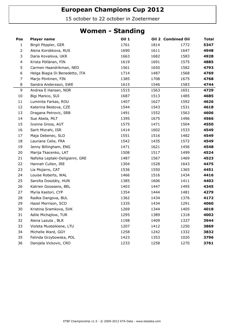15 october to 22 october in Zoetermeer

#### Women - Standing

| Pos            | <b>Player name</b>              | Oil 1 |      | Oil 2 Combined Oil | <b>Total</b> |
|----------------|---------------------------------|-------|------|--------------------|--------------|
| $\mathbf{1}$   | Birgit Pöppler, GER             | 1761  | 1814 | 1772               | 5347         |
| $\overline{2}$ | Alena Korobkova, RUS            | 1690  | 1611 | 1647               | 4948         |
| 3              | Daria Kovalova, UKR             | 1663  | 1682 | 1583               | 4928         |
| 4              | Krista Pöllänen, FIN            | 1619  | 1691 | 1575               | 4885         |
| 5              | Carmen Haandrikman, NED         | 1561  | 1650 | 1582               | 4793         |
| 6              | Helga Biagia Di Benedetto, ITA  | 1714  | 1487 | 1568               | 4769         |
| $\overline{7}$ | Marjo Pöntinen, FIN             | 1385  | 1708 | 1675               | 4768         |
| 8              | Sandra Andersson, SWE           | 1615  | 1546 | 1583               | 4744         |
| 9              | Andrea E Hansen, NOR            | 1515  | 1563 | 1651               | 4729         |
| $10\,$         | Bigi Manico, SUI                | 1687  | 1513 | 1485               | 4685         |
| 11             | Luminita Farkas, ROU            | 1407  | 1627 | 1592               | 4626         |
| 12             | Katerina Bestova, CZE           | 1544  | 1543 | 1531               | 4618         |
| 13             | Dragana Petrovic, SRB           | 1491  | 1552 | 1563               | 4606         |
| 14             | Sue Abela, MLT                  | 1395  | 1675 | 1496               | 4566         |
| 15             | Ivonne Gross, AUT               | 1575  | 1471 | 1504               | 4550         |
| 16             | Sarit Mizrahi, ISR              | 1414  | 1602 | 1533               | 4549         |
| 17             | Maja Debenec, SLO               | 1551  | 1516 | 1482               | 4549         |
| 18             | Lauriane Celie, FRA             | 1542  | 1435 | 1572               | 4549         |
| 19             | Jenny Billingham, ENG           | 1471  | 1621 | 1456               | 4548         |
| 20             | Marija Tkacenko, LAT            | 1508  | 1517 | 1499               | 4524         |
| 21             | Nafsika Leptaki-Deligianni, GRE | 1487  | 1567 | 1469               | 4523         |
| 22             | Hannah Cullen, IRE              | 1304  | 1528 | 1643               | 4475         |
| 23             | Lia Mojarro, CAT                | 1536  | 1550 | 1365               | 4451         |
| 24             | Louise Roberts, WAL             | 1466  | 1516 | 1434               | 4416         |
| 25             | Sarolta Dosztály, HUN           | 1385  | 1606 | 1411               | 4402         |
| 26             | Katrien Goossens, BEL           | 1403  | 1447 | 1495               | 4345         |
| 27             | Myria Kastori, CYP              | 1354  | 1444 | 1481               | 4279         |
| 28             | Radka Dangova, BUL              | 1362  | 1434 | 1376               | 4172         |
| 29             | Hazel Morrison, SCO             | 1335  | 1434 | 1291               | 4060         |
| 30             | Kristina Sramkova, SVK          | 1269  | 1344 | 1405               | 4018         |
| 31             | Adile Michajlow, TUR            | 1295  | 1389 | 1318               | 4002         |
| 32             | Alena Lazuta, BLR               | 1198  | 1409 | 1337               | 3944         |
| 33             | Violeta Musteikiene, LTU        | 1207  | 1412 | 1250               | 3869         |
| 34             | Michelle Ward, GGY              | 1258  | 1242 | 1332               | 3832         |
| 35             | Felinda Grzybowska, POL         | 1423  | 1353 | 1020               | 3796         |
| 36             | Danijela Vickovic, CRO          | 1233  | 1258 | 1270               | 3761         |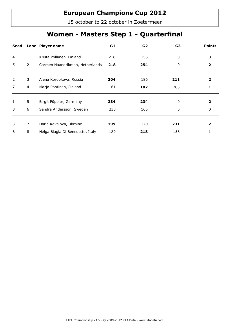15 october to 22 october in Zoetermeer

## Women - Masters Step 1 - Quarterfinal

| Seed           |   | Lane Player name                 | G1  | G <sub>2</sub> | G <sub>3</sub> | <b>Points</b> |
|----------------|---|----------------------------------|-----|----------------|----------------|---------------|
| 4              | 1 | Krista Pöllänen, Finland         | 216 | 155            | 0              | 0             |
| 5              | 2 | Carmen Haandrikman, Netherlands  | 218 | 254            | 0              | 2             |
|                |   |                                  |     |                |                |               |
| 2              | 3 | Alena Korobkova, Russia          | 204 | 186            | 211            | 2             |
| $\overline{7}$ | 4 | Marjo Pöntinen, Finland          | 161 | 187            | 205            | 1             |
|                |   |                                  |     |                |                |               |
| 1              | 5 | Birgit Pöppler, Germany          | 234 | 234            | 0              | 2             |
| 8              | 6 | Sandra Andersson, Sweden         | 230 | 165            | 0              | 0             |
|                |   |                                  |     |                |                |               |
| 3              | 7 | Daria Kovalova, Ukraine          | 199 | 170            | 231            |               |
| 6              | 8 | Helga Biagia Di Benedetto, Italy | 189 | 218            | 158            |               |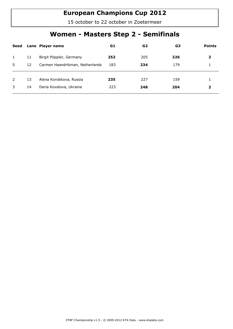15 october to 22 october in Zoetermeer

## Women - Masters Step 2 - Semifinals

| Seed         |    | Lane Player name                | G1  | G <sub>2</sub> | G3  | <b>Points</b> |
|--------------|----|---------------------------------|-----|----------------|-----|---------------|
| $\mathbf{1}$ | 11 | Birgit Pöppler, Germany         | 252 | 205            | 226 | 2             |
| 5            | 12 | Carmen Haandrikman, Netherlands | 183 | 234            | 179 |               |
| 2            | 13 | Alena Korobkova, Russia         | 235 | 227            | 159 |               |
| 3            | 14 | Daria Kovalova, Ukraine         | 223 | 248            | 204 | 2             |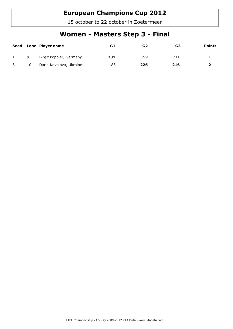15 october to 22 october in Zoetermeer

## Women - Masters Step 3 - Final

| Seed |    | Lane Player name        | G1  | G <sub>2</sub> | G3  | <b>Points</b> |
|------|----|-------------------------|-----|----------------|-----|---------------|
|      | 9  | Birgit Pöppler, Germany | 231 | 199            | 211 |               |
|      | 10 | Daria Kovalova, Ukraine | 188 | 226            | 216 |               |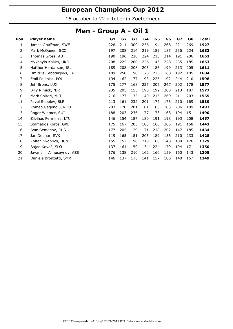15 october to 22 october in Zoetermeer

#### Men - Group A - Oil 1

| Pos            | <b>Player name</b>         | G1  | G <sub>2</sub> | G3  | G <sub>4</sub> | G5  | G6  | GZ  | G8  | <b>Total</b> |
|----------------|----------------------------|-----|----------------|-----|----------------|-----|-----|-----|-----|--------------|
| 1              | James Gruffman, SWE        | 228 | 211            | 300 | 236            | 194 | 268 | 221 | 269 | 1927         |
| $\overline{2}$ | Mark McQueen, SCO          | 197 | 208            | 214 | 219            | 189 | 185 | 236 | 234 | 1682         |
| 3              | Thomas Gross, AUT          | 190 | 196            | 228 | 224            | 213 | 214 | 191 | 206 | 1662         |
| 4              | Mykhaylo Kalika, UKR       | 208 | 225            | 200 | 226            | 146 | 228 | 235 | 185 | 1653         |
| 5              | Hafthor Hardarson, ISL     | 189 | 208            | 208 | 203            | 186 | 199 | 213 | 205 | 1611         |
| 6              | Dmitrijs Cebotarjovs, LAT  | 189 | 258            | 198 | 178            | 236 | 168 | 192 | 185 | 1604         |
| 7              | Emil Polanisz, POL         | 194 | 162            | 177 | 193            | 226 | 192 | 244 | 210 | 1598         |
| 8              | Jeff Brons, LUX            | 175 | 177            | 168 | 225            | 205 | 247 | 202 | 178 | 1577         |
| 9              | Billy Nimick, NIR          | 235 | 205            | 155 | 190            | 192 | 200 | 213 | 187 | 1577         |
| 10             | Mark Spiteri, MLT          | 216 | 177            | 133 | 140            | 216 | 269 | 211 | 203 | 1565         |
| 11             | Pavel Sobolev, BLR         | 213 | 161            | 232 | 201            | 177 | 176 | 210 | 169 | 1539         |
| 12             | Romeo Gagenoiu, ROU        | 203 | 170            | 201 | 181            | 160 | 183 | 206 | 189 | 1493         |
| 13             | Roger Widmer, SUI          | 188 | 203            | 236 | 177            | 173 | 168 | 194 | 151 | 1490         |
| 14             | Zilvinas Perminas, LTU     | 146 | 154            | 187 | 180            | 191 | 198 | 193 | 208 | 1457         |
| 15             | Stamatios Roros, GRE       | 175 | 167            | 203 | 183            | 160 | 205 | 191 | 158 | 1442         |
| 16             | Ivan Semenov, RUS          | 177 | 205            | 129 | 171            | 218 | 202 | 147 | 185 | 1434         |
| 17             | Jan Debnar, SVK            | 119 | 165            | 151 | 205            | 189 | 156 | 210 | 233 | 1428         |
| 18             | Zoltan Skobrics, HUN       | 155 | 152            | 198 | 210            | 160 | 148 | 180 | 176 | 1379         |
| 19             | Bojan Kovač, SLO           | 137 | 161            | 150 | 134            | 224 | 179 | 194 | 171 | 1350         |
| 20             | Javanshir Alihuseynov, AZE | 176 | 138            | 210 | 162            | 160 | 159 | 160 | 143 | 1308         |
| 21             | Daniele Bronzetti, SMR     | 146 | 137            | 175 | 141            | 157 | 186 | 140 | 167 | 1249         |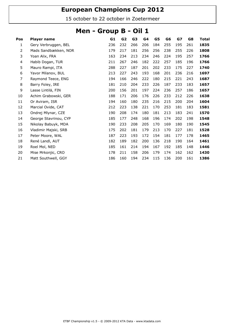15 october to 22 october in Zoetermeer

#### Men - Group B - Oil 1

| Pos            | Player name           | G1  | G <sub>2</sub> | G3  | G4  | G5  | G6  | GZ  | G8  | Total |
|----------------|-----------------------|-----|----------------|-----|-----|-----|-----|-----|-----|-------|
| 1              | Gery Verbruggen, BEL  | 236 | 232            | 266 | 206 | 184 | 255 | 195 | 261 | 1835  |
| $\overline{2}$ | Mads Sandbækken, NOR  | 179 | 217            | 181 | 256 | 256 | 238 | 255 | 226 | 1808  |
| 3              | Yoan Alix, FRA        | 163 | 234            | 213 | 234 | 246 | 224 | 195 | 257 | 1766  |
| 4              | Habib Dogan, TUR      | 211 | 267            | 246 | 182 | 222 | 257 | 185 | 196 | 1766  |
| 5              | Mauro Rampi, ITA      | 288 | 227            | 187 | 201 | 202 | 233 | 175 | 227 | 1740  |
| 6              | Yavor Milanov, BUL    | 213 | 227            | 243 | 193 | 168 | 201 | 236 | 216 | 1697  |
| 7              | Raymond Teece, ENG    | 194 | 166            | 246 | 222 | 180 | 215 | 221 | 243 | 1687  |
| 8              | Barry Foley, IRE      | 181 | 210            | 204 | 233 | 226 | 187 | 233 | 183 | 1657  |
| 9              | Lasse Lintilä, FIN    | 200 | 156            | 201 | 197 | 224 | 236 | 257 | 186 | 1657  |
| 10             | Achim Grabowski, GER  | 188 | 171            | 206 | 176 | 226 | 233 | 212 | 226 | 1638  |
| 11             | Or Aviram, ISR        | 194 | 160            | 180 | 235 | 216 | 215 | 200 | 204 | 1604  |
| 12             | Marcial Ovide, CAT    | 212 | 223            | 138 | 221 | 170 | 253 | 181 | 183 | 1581  |
| 13             | Ondrej Mlynar, CZE    | 190 | 208            | 174 | 180 | 181 | 213 | 183 | 241 | 1570  |
| 14             | George Stavrinou, CYP | 185 | 177            | 248 | 168 | 196 | 174 | 202 | 198 | 1548  |
| 15             | Nikolay Babuyk, MDA   | 190 | 233            | 208 | 205 | 170 | 169 | 180 | 190 | 1545  |
| 16             | Vladimir Majski, SRB  | 175 | 202            | 181 | 179 | 213 | 170 | 227 | 181 | 1528  |
| 17             | Peter Moore, WAL      | 187 | 223            | 193 | 172 | 154 | 181 | 177 | 178 | 1465  |
| 18             | René Landl, AUT       | 182 | 189            | 182 | 200 | 136 | 218 | 190 | 164 | 1461  |
| 19             | Roel Mol, NED         | 185 | 161            | 214 | 194 | 167 | 192 | 185 | 148 | 1446  |
| 20             | Mise Mrkonjic, CRO    | 178 | 211            | 158 | 206 | 179 | 174 | 162 | 162 | 1430  |
| 21             | Matt Southwell, GGY   | 186 | 160            | 194 | 234 | 115 | 136 | 200 | 161 | 1386  |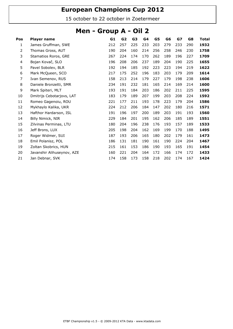15 october to 22 october in Zoetermeer

#### Men - Group A - Oil 2

| Pos            | <b>Player name</b>         | G1  | G <sub>2</sub> | G <sub>3</sub> | G4  | G5  | G6  | GZ  | G8  | Total |
|----------------|----------------------------|-----|----------------|----------------|-----|-----|-----|-----|-----|-------|
| 1              | James Gruffman, SWE        | 212 | 257            | 225            | 233 | 203 | 279 | 233 | 290 | 1932  |
| $\overline{2}$ | Thomas Gross, AUT          | 190 | 204            | 160            | 214 | 256 | 258 | 246 | 230 | 1758  |
| 3              | Stamatios Roros, GRE       | 267 | 224            | 174            | 170 | 262 | 189 | 196 | 227 | 1709  |
| 4              | Bojan Kovač, SLO           | 196 | 208            | 206            | 237 | 189 | 204 | 190 | 225 | 1655  |
| 5              | Pavel Sobolev, BLR         | 192 | 194            | 185            | 192 | 223 | 223 | 194 | 219 | 1622  |
| 6              | Mark McQueen, SCO          | 217 | 175            | 252            | 196 | 183 | 203 | 179 | 209 | 1614  |
| 7              | Ivan Semenov, RUS          | 158 | 213            | 214            | 179 | 227 | 179 | 198 | 238 | 1606  |
| 8              | Daniele Bronzetti, SMR     | 234 | 191            | 232            | 181 | 165 | 214 | 169 | 214 | 1600  |
| 9              | Mark Spiteri, MLT          | 193 | 191            | 184            | 203 | 186 | 202 | 211 | 225 | 1595  |
| 10             | Dmitrijs Cebotarjovs, LAT  | 183 | 179            | 189            | 207 | 199 | 203 | 208 | 224 | 1592  |
| 11             | Romeo Gagenoiu, ROU        | 221 | 177            | 211            | 193 | 178 | 223 | 179 | 204 | 1586  |
| 12             | Mykhaylo Kalika, UKR       | 224 | 212            | 206            | 184 | 147 | 202 | 180 | 216 | 1571  |
| 13             | Hafthor Hardarson, ISL     | 191 | 196            | 197            | 200 | 189 | 203 | 191 | 193 | 1560  |
| 14             | Billy Nimick, NIR          | 229 | 184            | 201            | 195 | 162 | 206 | 185 | 189 | 1551  |
| 15             | Zilvinas Perminas, LTU     | 180 | 204            | 196            | 238 | 176 | 193 | 157 | 189 | 1533  |
| 16             | Jeff Brons, LUX            | 205 | 198            | 204            | 162 | 169 | 199 | 170 | 188 | 1495  |
| 17             | Roger Widmer, SUI          | 187 | 193            | 206            | 165 | 180 | 202 | 179 | 161 | 1473  |
| 18             | Emil Polanisz, POL         | 186 | 131            | 181            | 190 | 161 | 190 | 224 | 204 | 1467  |
| 19             | Zoltan Skobrics, HUN       | 215 | 161            | 153            | 186 | 190 | 193 | 165 | 191 | 1454  |
| 20             | Javanshir Alihuseynov, AZE | 160 | 221            | 204            | 164 | 172 | 166 | 174 | 172 | 1433  |
| 21             | Jan Debnar, SVK            | 174 | 158            | 173            | 158 | 218 | 202 | 174 | 167 | 1424  |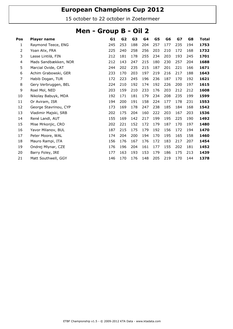15 october to 22 october in Zoetermeer

#### Men - Group B - Oil 2

| Pos | <b>Player name</b>    | G1  | G <sub>2</sub> | G <sub>3</sub> | G4  | G5  | G6  | G7  | G8  | Total |
|-----|-----------------------|-----|----------------|----------------|-----|-----|-----|-----|-----|-------|
| 1   | Raymond Teece, ENG    | 245 | 253            | 188            | 204 | 257 | 177 | 235 | 194 | 1753  |
| 2   | Yoan Alix, FRA        | 225 | 240            | 258            | 256 | 203 | 210 | 172 | 168 | 1732  |
| 3   | Lasse Lintilä, FIN    | 212 | 181            | 178            | 255 | 234 | 203 | 193 | 245 | 1701  |
| 4   | Mads Sandbækken, NOR  | 212 | 143            | 247            | 215 | 180 | 230 | 257 | 204 | 1688  |
| 5   | Marcial Ovide, CAT    | 244 | 202            | 235            | 215 | 187 | 201 | 221 | 166 | 1671  |
| 6   | Achim Grabowski, GER  | 233 | 170            | 203            | 197 | 219 | 216 | 217 | 188 | 1643  |
| 7   | Habib Dogan, TUR      | 172 | 223            | 245            | 196 | 236 | 187 | 170 | 192 | 1621  |
| 8   | Gery Verbruggen, BEL  | 224 | 210            | 192            | 174 | 192 | 226 | 200 | 197 | 1615  |
| 9   | Roel Mol, NED         | 203 | 159            | 210            | 233 | 176 | 203 | 212 | 212 | 1608  |
| 10  | Nikolay Babuyk, MDA   | 192 | 171            | 181            | 179 | 234 | 208 | 235 | 199 | 1599  |
| 11  | Or Aviram, ISR        | 194 | 200            | 191            | 158 | 224 | 177 | 178 | 231 | 1553  |
| 12  | George Stavrinou, CYP | 173 | 169            | 178            | 247 | 238 | 185 | 184 | 168 | 1542  |
| 13  | Vladimir Majski, SRB  | 202 | 175            | 204            | 160 | 222 | 203 | 167 | 203 | 1536  |
| 14  | René Landl, AUT       | 155 | 169            | 142            | 217 | 199 | 195 | 225 | 190 | 1492  |
| 15  | Mise Mrkonjic, CRO    | 202 | 221            | 152            | 172 | 179 | 187 | 170 | 197 | 1480  |
| 16  | Yavor Milanov, BUL    | 187 | 215            | 175            | 179 | 192 | 156 | 172 | 194 | 1470  |
| 17  | Peter Moore, WAL      | 174 | 204            | 200            | 194 | 170 | 195 | 165 | 158 | 1460  |
| 18  | Mauro Rampi, ITA      | 156 | 176            | 167            | 176 | 172 | 183 | 217 | 207 | 1454  |
| 19  | Ondrej Mlynar, CZE    | 176 | 196            | 204            | 161 | 177 | 155 | 202 | 181 | 1452  |
| 20  | Barry Foley, IRE      | 177 | 163            | 193            | 153 | 179 | 186 | 175 | 213 | 1439  |
| 21  | Matt Southwell, GGY   | 146 | 170            | 176            | 148 | 205 | 219 | 170 | 144 | 1378  |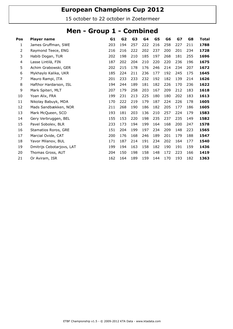15 october to 22 october in Zoetermeer

#### Men - Group 1 - Combined

| Pos                      | <b>Player name</b>        | G1  | G <sub>2</sub> | G3  | G <sub>4</sub> | G5  | G6  | GZ  | G8  | Total |
|--------------------------|---------------------------|-----|----------------|-----|----------------|-----|-----|-----|-----|-------|
| 1                        | James Gruffman, SWE       | 203 | 194            | 257 | 222            | 216 | 258 | 227 | 211 | 1788  |
| 2                        | Raymond Teece, ENG        | 216 | 216            | 222 | 202            | 237 | 200 | 201 | 234 | 1728  |
| 3                        | Habib Dogan, TUR          | 202 | 198            | 210 | 185            | 197 | 268 | 181 | 255 | 1696  |
| $\overline{\mathcal{A}}$ | Lasse Lintilä, FIN        | 187 | 202            | 204 | 210            | 220 | 220 | 236 | 196 | 1675  |
| 5                        | Achim Grabowski, GER      | 202 | 215            | 178 | 176            | 246 | 214 | 234 | 207 | 1672  |
| 6                        | Mykhaylo Kalika, UKR      | 185 | 224            | 211 | 236            | 177 | 192 | 245 | 175 | 1645  |
| 7                        | Mauro Rampi, ITA          | 201 | 233            | 233 | 232            | 192 | 182 | 139 | 214 | 1626  |
| 8                        | Hafthor Hardarson, ISL    | 194 | 244            | 189 | 181            | 182 | 226 | 170 | 236 | 1622  |
| 9                        | Mark Spiteri, MLT         | 207 | 179            | 258 | 203            | 167 | 209 | 212 | 183 | 1618  |
| 10                       | Yoan Alix, FRA            | 199 | 231            | 213 | 225            | 180 | 180 | 202 | 183 | 1613  |
| 11                       | Nikolay Babuyk, MDA       | 170 | 222            | 219 | 179            | 187 | 224 | 226 | 178 | 1605  |
| 12                       | Mads Sandbækken, NOR      | 211 | 268            | 190 | 186            | 182 | 205 | 177 | 186 | 1605  |
| 13                       | Mark McQueen, SCO         | 193 | 181            | 203 | 136            | 210 | 257 | 224 | 179 | 1583  |
| 14                       | Gery Verbruggen, BEL      | 155 | 153            | 220 | 198            | 235 | 237 | 235 | 149 | 1582  |
| 15                       | Pavel Sobolev, BLR        | 233 | 173            | 194 | 199            | 164 | 168 | 200 | 247 | 1578  |
| 16                       | Stamatios Roros, GRE      | 151 | 204            | 199 | 197            | 234 | 209 | 148 | 223 | 1565  |
| 17                       | Marcial Ovide, CAT        | 200 | 176            | 168 | 246            | 189 | 201 | 179 | 188 | 1547  |
| 18                       | Yavor Milanov, BUL        | 171 | 187            | 214 | 191            | 234 | 202 | 164 | 177 | 1540  |
| 19                       | Dmitrijs Cebotarjovs, LAT | 199 | 194            | 163 | 158            | 182 | 190 | 191 | 159 | 1436  |
| 20                       | Thomas Gross, AUT         | 204 | 150            | 198 | 158            | 148 | 172 | 223 | 166 | 1419  |
| 21                       | Or Aviram, ISR            | 162 | 164            | 189 | 159            | 144 | 170 | 193 | 182 | 1363  |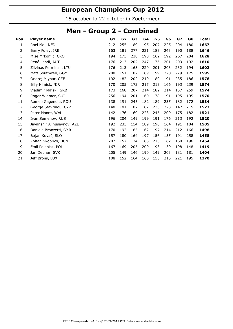15 october to 22 october in Zoetermeer

#### Men - Group 2 - Combined

| Pos            | <b>Player name</b>         | G1  | G <sub>2</sub> | G3  | G4  | G5  | G6  | GZ  | G8  | <b>Total</b> |
|----------------|----------------------------|-----|----------------|-----|-----|-----|-----|-----|-----|--------------|
| 1              | Roel Mol, NED              | 212 | 255            | 189 | 195 | 207 | 225 | 204 | 180 | 1667         |
| $\overline{2}$ | Barry Foley, IRE           | 163 | 181            | 277 | 221 | 183 | 243 | 190 | 188 | 1646         |
| 3              | Mise Mrkonjic, CRO         | 194 | 173            | 238 | 198 | 162 | 192 | 267 | 204 | 1628         |
| 4              | René Landl, AUT            | 176 | 213            | 202 | 247 | 176 | 201 | 203 | 192 | 1610         |
| 5              | Zilvinas Perminas, LTU     | 176 | 213            | 163 | 220 | 201 | 203 | 232 | 194 | 1602         |
| 6              | Matt Southwell, GGY        | 200 | 151            | 182 | 189 | 199 | 220 | 279 | 175 | 1595         |
| 7              | Ondrej Mlynar, CZE         | 192 | 182            | 202 | 210 | 180 | 191 | 235 | 186 | 1578         |
| 8              | Billy Nimick, NIR          | 170 | 205            | 173 | 215 | 213 | 166 | 193 | 239 | 1574         |
| 9              | Vladimir Majski, SRB       | 173 | 168            | 207 | 214 | 182 | 214 | 157 | 259 | 1574         |
| 10             | Roger Widmer, SUI          | 256 | 194            | 201 | 160 | 178 | 191 | 195 | 195 | 1570         |
| 11             | Romeo Gagenoiu, ROU        | 138 | 191            | 245 | 182 | 189 | 235 | 182 | 172 | 1534         |
| 12             | George Stavrinou, CYP      | 148 | 181            | 187 | 187 | 235 | 223 | 147 | 215 | 1523         |
| 13             | Peter Moore, WAL           | 142 | 176            | 169 | 223 | 245 | 209 | 175 | 182 | 1521         |
| 14             | Ivan Semenov, RUS          | 196 | 204            | 149 | 199 | 191 | 176 | 213 | 192 | 1520         |
| 15             | Javanshir Alihuseynov, AZE | 192 | 233            | 154 | 189 | 198 | 164 | 191 | 184 | 1505         |
| 16             | Daniele Bronzetti, SMR     | 170 | 192            | 185 | 162 | 197 | 214 | 212 | 166 | 1498         |
| 17             | Bojan Kovač, SLO           | 157 | 180            | 164 | 197 | 156 | 155 | 191 | 258 | 1458         |
| 18             | Zoltan Skobrics, HUN       | 207 | 157            | 174 | 185 | 213 | 162 | 160 | 196 | 1454         |
| 19             | Emil Polanisz, POL         | 167 | 169            | 205 | 200 | 193 | 139 | 198 | 148 | 1419         |
| 20             | Jan Debnar, SVK            | 205 | 149            | 146 | 190 | 149 | 203 | 181 | 181 | 1404         |
| 21             | Jeff Brons, LUX            | 108 | 152            | 164 | 160 | 155 | 215 | 221 | 195 | 1370         |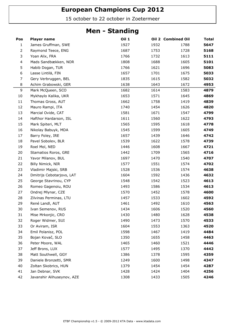15 october to 22 october in Zoetermeer

#### Men - Standing

| Pos              | <b>Player name</b>         | <b>Oil 1</b> |      | Oil 2 Combined Oil | <b>Total</b> |
|------------------|----------------------------|--------------|------|--------------------|--------------|
| $\mathbf{1}$     | James Gruffman, SWE        | 1927         | 1932 | 1788               | 5647         |
| $\overline{2}$   | Raymond Teece, ENG         | 1687         | 1753 | 1728               | 5168         |
| 3                | Yoan Alix, FRA             | 1766         | 1732 | 1613               | 5111         |
| 4                | Mads Sandbækken, NOR       | 1808         | 1688 | 1605               | 5101         |
| 5                | Habib Dogan, TUR           | 1766         | 1621 | 1696               | 5083         |
| $\boldsymbol{6}$ | Lasse Lintilä, FIN         | 1657         | 1701 | 1675               | 5033         |
| 7                | Gery Verbruggen, BEL       | 1835         | 1615 | 1582               | 5032         |
| 8                | Achim Grabowski, GER       | 1638         | 1643 | 1672               | 4953         |
| 9                | Mark McQueen, SCO          | 1682         | 1614 | 1583               | 4879         |
| $10\,$           | Mykhaylo Kalika, UKR       | 1653         | 1571 | 1645               | 4869         |
| 11               | Thomas Gross, AUT          | 1662         | 1758 | 1419               | 4839         |
| 12               | Mauro Rampi, ITA           | 1740         | 1454 | 1626               | 4820         |
| 13               | Marcial Ovide, CAT         | 1581         | 1671 | 1547               | 4799         |
| 14               | Hafthor Hardarson, ISL     | 1611         | 1560 | 1622               | 4793         |
| 15               | Mark Spiteri, MLT          | 1565         | 1595 | 1618               | 4778         |
| 16               | Nikolay Babuyk, MDA        | 1545         | 1599 | 1605               | 4749         |
| 17               | Barry Foley, IRE           | 1657         | 1439 | 1646               | 4742         |
| 18               | Pavel Sobolev, BLR         | 1539         | 1622 | 1578               | 4739         |
| 19               | Roel Mol, NED              | 1446         | 1608 | 1667               | 4721         |
| 20               | Stamatios Roros, GRE       | 1442         | 1709 | 1565               | 4716         |
| 21               | Yavor Milanov, BUL         | 1697         | 1470 | 1540               | 4707         |
| 22               | Billy Nimick, NIR          | 1577         | 1551 | 1574               | 4702         |
| 23               | Vladimir Majski, SRB       | 1528         | 1536 | 1574               | 4638         |
| 24               | Dmitrijs Cebotarjovs, LAT  | 1604         | 1592 | 1436               | 4632         |
| 25               | George Stavrinou, CYP      | 1548         | 1542 | 1523               | 4613         |
| 26               | Romeo Gagenoiu, ROU        | 1493         | 1586 | 1534               | 4613         |
| 27               | Ondrej Mlynar, CZE         | 1570         | 1452 | 1578               | 4600         |
| 28               | Zilvinas Perminas, LTU     | 1457         | 1533 | 1602               | 4592         |
| 29               | René Landl, AUT            | 1461         | 1492 | 1610               | 4563         |
| 30               | Ivan Semenov, RUS          | 1434         | 1606 | 1520               | 4560         |
| 31               | Mise Mrkonjic, CRO         | 1430         | 1480 | 1628               | 4538         |
| 32               | Roger Widmer, SUI          | 1490         | 1473 | 1570               | 4533         |
| 33               | Or Aviram, ISR             | 1604         | 1553 | 1363               | 4520         |
| 34               | Emil Polanisz, POL         | 1598         | 1467 | 1419               | 4484         |
| 35               | Bojan Kovač, SLO           | 1350         | 1655 | 1458               | 4463         |
| 36               | Peter Moore, WAL           | 1465         | 1460 | 1521               | 4446         |
| 37               | Jeff Brons, LUX            | 1577         | 1495 | 1370               | 4442         |
| 38               | Matt Southwell, GGY        | 1386         | 1378 | 1595               | 4359         |
| 39               | Daniele Bronzetti, SMR     | 1249         | 1600 | 1498               | 4347         |
| 40               | Zoltan Skobrics, HUN       | 1379         | 1454 | 1454               | 4287         |
| 41               | Jan Debnar, SVK            | 1428         | 1424 | 1404               | 4256         |
| 42               | Javanshir Alihuseynov, AZE | 1308         | 1433 | 1505               | 4246         |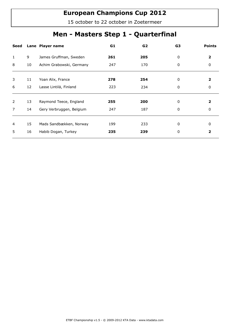15 october to 22 october in Zoetermeer

## Men - Masters Step 1 - Quarterfinal

| Seed           |    | Lane Player name         | G1  | G2  | G <sub>3</sub> | <b>Points</b> |
|----------------|----|--------------------------|-----|-----|----------------|---------------|
| 1              | 9  | James Gruffman, Sweden   | 261 | 205 | 0              | 2             |
| 8              | 10 | Achim Grabowski, Germany | 247 | 170 | 0              | 0             |
|                |    |                          |     |     |                |               |
| 3              | 11 | Yoan Alix, France        | 278 | 254 | 0              | 2             |
| 6              | 12 | Lasse Lintilä, Finland   | 223 | 234 | 0              | 0             |
|                |    |                          |     |     |                |               |
| 2              | 13 | Raymond Teece, England   | 255 | 200 | 0              | 2             |
| $\overline{7}$ | 14 | Gery Verbruggen, Belgium | 247 | 187 | 0              | 0             |
|                |    |                          |     |     |                |               |
| 4              | 15 | Mads Sandbækken, Norway  | 199 | 233 | 0              | 0             |
| 5.             | 16 | Habib Dogan, Turkey      | 235 | 239 | 0              | 2             |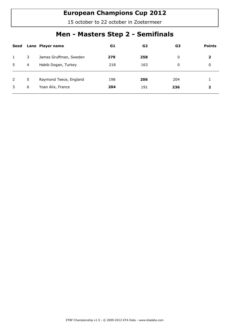15 october to 22 october in Zoetermeer

## Men - Masters Step 2 - Semifinals

| Seed         |   | Lane Player name       | G1  | G2  | G3  | <b>Points</b> |
|--------------|---|------------------------|-----|-----|-----|---------------|
| $\mathbf{1}$ | 3 | James Gruffman, Sweden | 279 | 258 | 0   | $\mathbf{2}$  |
| 5            | 4 | Habib Dogan, Turkey    | 218 | 163 | 0   | 0             |
|              |   |                        |     |     |     |               |
| 2            | 5 | Raymond Teece, England | 198 | 206 | 204 |               |
| 3            | 6 | Yoan Alix, France      | 204 | 191 | 236 | 2             |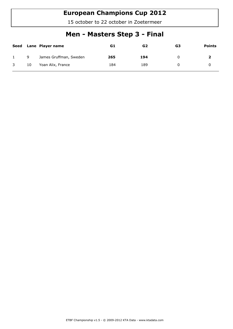15 october to 22 october in Zoetermeer

## Men - Masters Step 3 - Final

| Seed         |    | Lane Player name       | G1  | G2  | G3 | <b>Points</b> |
|--------------|----|------------------------|-----|-----|----|---------------|
|              | 9  | James Gruffman, Sweden | 265 | 194 | Ü  |               |
| $\mathbf{3}$ | 10 | Yoan Alix, France      | 184 | 189 | 0  |               |